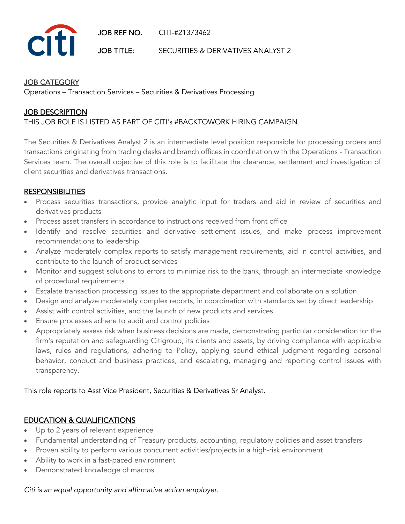JOB REF NO. CITI-#21373462

JOB TITLE: SECURITIES & DERIVATIVES ANALYST 2

#### JOB CATEGORY

**Citi** 

Operations – Transaction Services – Securities & Derivatives Processing

### JOB DESCRIPTION

#### THIS JOB ROLE IS LISTED AS PART OF CITI's #BACKTOWORK HIRING CAMPAIGN.

The Securities & Derivatives Analyst 2 is an intermediate level position responsible for processing orders and transactions originating from trading desks and branch offices in coordination with the Operations - Transaction Services team. The overall objective of this role is to facilitate the clearance, settlement and investigation of client securities and derivatives transactions.

### **RESPONSIBILITIES**

- Process securities transactions, provide analytic input for traders and aid in review of securities and derivatives products
- Process asset transfers in accordance to instructions received from front office
- Identify and resolve securities and derivative settlement issues, and make process improvement recommendations to leadership
- Analyze moderately complex reports to satisfy management requirements, aid in control activities, and contribute to the launch of product services
- Monitor and suggest solutions to errors to minimize risk to the bank, through an intermediate knowledge of procedural requirements
- Escalate transaction processing issues to the appropriate department and collaborate on a solution
- Design and analyze moderately complex reports, in coordination with standards set by direct leadership
- Assist with control activities, and the launch of new products and services
- Ensure processes adhere to audit and control policies
- Appropriately assess risk when business decisions are made, demonstrating particular consideration for the firm's reputation and safeguarding Citigroup, its clients and assets, by driving compliance with applicable laws, rules and regulations, adhering to Policy, applying sound ethical judgment regarding personal behavior, conduct and business practices, and escalating, managing and reporting control issues with transparency.

This role reports to Asst Vice President, Securities & Derivatives Sr Analyst.

# EDUCATION & QUALIFICATIONS

- Up to 2 years of relevant experience
- Fundamental understanding of Treasury products, accounting, regulatory policies and asset transfers
- Proven ability to perform various concurrent activities/projects in a high-risk environment
- Ability to work in a fast-paced environment
- Demonstrated knowledge of macros.

#### *Citi is an equal opportunity and affirmative action employer.*